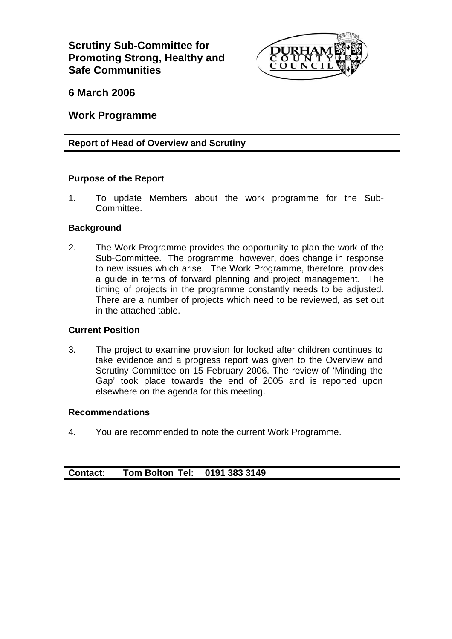**Scrutiny Sub-Committee for Promoting Strong, Healthy and Safe Communities** 



**6 March 2006** 

**Work Programme** 

## **Report of Head of Overview and Scrutiny**

## **Purpose of the Report**

1. To update Members about the work programme for the Sub-Committee.

## **Background**

2. The Work Programme provides the opportunity to plan the work of the Sub-Committee. The programme, however, does change in response to new issues which arise. The Work Programme, therefore, provides a guide in terms of forward planning and project management. The timing of projects in the programme constantly needs to be adjusted. There are a number of projects which need to be reviewed, as set out in the attached table.

## **Current Position**

3. The project to examine provision for looked after children continues to take evidence and a progress report was given to the Overview and Scrutiny Committee on 15 February 2006. The review of 'Minding the Gap' took place towards the end of 2005 and is reported upon elsewhere on the agenda for this meeting.

#### **Recommendations**

4. You are recommended to note the current Work Programme.

| <b>Contact:</b><br><b>Tom Bolton Tel:</b> | 0191 383 3149 |
|-------------------------------------------|---------------|
|-------------------------------------------|---------------|